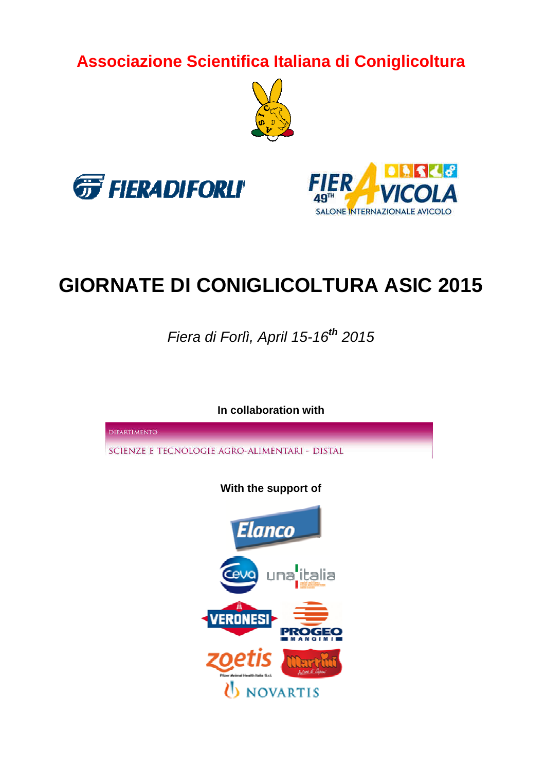**Associazione Scientifica Italiana di Coniglicoltura**







# **GIORNATE DI CONIGLICOLTURA ASIC 2015**

Fiera di Forlì, April 15-16**th** 2015

**In collaboration with DIPARTIMENTO** SCIENZE E TECNOLOGIE AGRO-ALIMENTARI - DISTAL **With the support of** Elanco una**:**italia **JOVARTIS**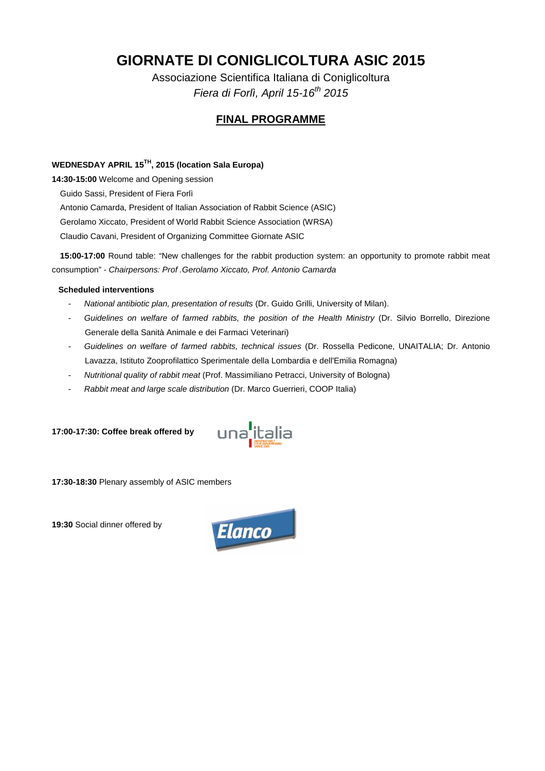# **GIORNATE DI CONIGLICOLTURA ASIC 2015**

Associazione Scientifica Italiana di Coniglicoltura Fiera di Forlì, April 15-16<sup>th</sup> 2015

# **FINAL PROGRAMME**

# **WEDNESDAY APRIL 15TH, 2015 (location Sala Europa)**

**14:30-15:00** Welcome and Opening session

Guido Sassi, President of Fiera Forlì

Antonio Camarda, President of Italian Association of Rabbit Science (ASIC)

Gerolamo Xiccato, President of World Rabbit Science Association (WRSA)

Claudio Cavani, President of Organizing Committee Giornate ASIC

**15:00-17:00** Round table: "New challenges for the rabbit production system: an opportunity to promote rabbit meat consumption" - Chairpersons: Prof .Gerolamo Xiccato, Prof. Antonio Camarda

#### **Scheduled interventions**

- National antibiotic plan, presentation of results (Dr. Guido Grilli, University of Milan).
- Guidelines on welfare of farmed rabbits, the position of the Health Ministry (Dr. Silvio Borrello, Direzione Generale della Sanità Animale e dei Farmaci Veterinari)
- Guidelines on welfare of farmed rabbits, technical issues (Dr. Rossella Pedicone, UNAITALIA; Dr. Antonio Lavazza, Istituto Zooprofilattico Sperimentale della Lombardia e dell'Emilia Romagna)
- Nutritional quality of rabbit meat (Prof. Massimiliano Petracci, University of Bologna)
- Rabbit meat and large scale distribution (Dr. Marco Guerrieri, COOP Italia)

**17:00-17:30: Coffee break offered by** 



**17:30-18:30** Plenary assembly of ASIC members

**19:30** Social dinner offered by

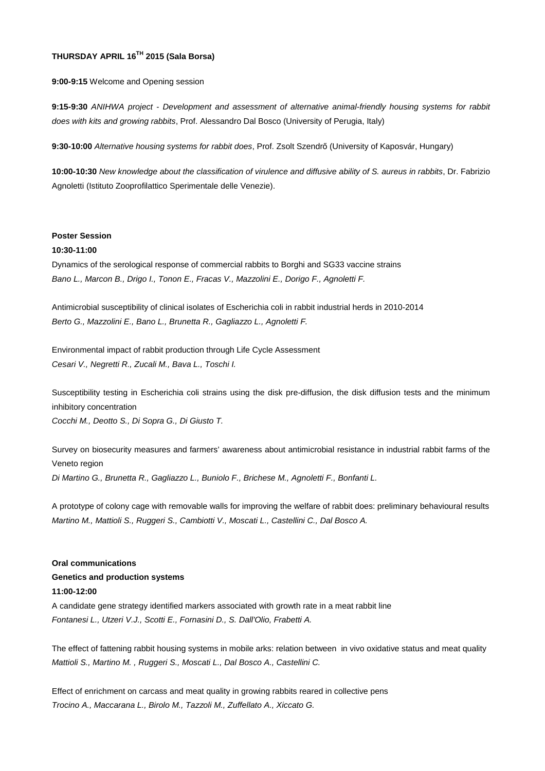# **THURSDAY APRIL 16TH 2015 (Sala Borsa)**

**9:00-9:15** Welcome and Opening session

**9:15-9:30** ANIHWA project - Development and assessment of alternative animal-friendly housing systems for rabbit does with kits and growing rabbits, Prof. Alessandro Dal Bosco (University of Perugia, Italy)

**9:30-10:00** Alternative housing systems for rabbit does, Prof. Zsolt Szendrő (University of Kaposvár, Hungary)

**10:00-10:30** New knowledge about the classification of virulence and diffusive ability of S. aureus in rabbits, Dr. Fabrizio Agnoletti (Istituto Zooprofilattico Sperimentale delle Venezie).

#### **Poster Session**

#### **10:30-11:00**

Dynamics of the serological response of commercial rabbits to Borghi and SG33 vaccine strains Bano L., Marcon B., Drigo I., Tonon E., Fracas V., Mazzolini E., Dorigo F., Agnoletti F.

Antimicrobial susceptibility of clinical isolates of Escherichia coli in rabbit industrial herds in 2010-2014 Berto G., Mazzolini E., Bano L., Brunetta R., Gagliazzo L., Agnoletti F.

Environmental impact of rabbit production through Life Cycle Assessment Cesari V., Negretti R., Zucali M., Bava L., Toschi I.

Susceptibility testing in Escherichia coli strains using the disk pre-diffusion, the disk diffusion tests and the minimum inhibitory concentration Cocchi M., Deotto S., Di Sopra G., Di Giusto T.

Survey on biosecurity measures and farmers' awareness about antimicrobial resistance in industrial rabbit farms of the Veneto region Di Martino G., Brunetta R., Gagliazzo L., Buniolo F., Brichese M., Agnoletti F., Bonfanti L.

A prototype of colony cage with removable walls for improving the welfare of rabbit does: preliminary behavioural results Martino M., Mattioli S., Ruggeri S., Cambiotti V., Moscati L., Castellini C., Dal Bosco A.

#### **Oral communications**

#### **Genetics and production systems**

#### **11:00-12:00**

A candidate gene strategy identified markers associated with growth rate in a meat rabbit line Fontanesi L., Utzeri V.J., Scotti E., Fornasini D., S. Dall'Olio, Frabetti A.

The effect of fattening rabbit housing systems in mobile arks: relation between in vivo oxidative status and meat quality Mattioli S., Martino M. , Ruggeri S., Moscati L., Dal Bosco A., Castellini C.

Effect of enrichment on carcass and meat quality in growing rabbits reared in collective pens Trocino A., Maccarana L., Birolo M., Tazzoli M., Zuffellato A., Xiccato G.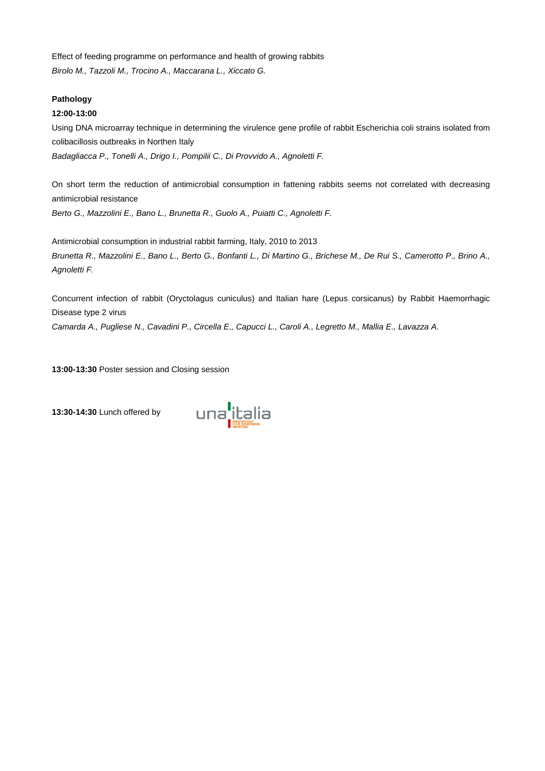Effect of feeding programme on performance and health of growing rabbits Birolo M., Tazzoli M., Trocino A., Maccarana L., Xiccato G.

#### **Pathology**

#### **12:00-13:00**

Agnoletti F.

Using DNA microarray technique in determining the virulence gene profile of rabbit Escherichia coli strains isolated from colibacillosis outbreaks in Northen Italy

Badagliacca P., Tonelli A., Drigo I., Pompilii C., Di Provvido A., Agnoletti F.

On short term the reduction of antimicrobial consumption in fattening rabbits seems not correlated with decreasing antimicrobial resistance Berto G., Mazzolini E., Bano L., Brunetta R., Guolo A., Puiatti C., Agnoletti F.

Antimicrobial consumption in industrial rabbit farming, Italy, 2010 to 2013 Brunetta R., Mazzolini E., Bano L., Berto G., Bonfanti L., Di Martino G., Brichese M., De Rui S., Camerotto P., Brino A.,

Concurrent infection of rabbit (Oryctolagus cuniculus) and Italian hare (Lepus corsicanus) by Rabbit Haemorrhagic Disease type 2 virus

Camarda A., Pugliese N., Cavadini P., Circella E., Capucci L., Caroli A., Legretto M., Mallia E., Lavazza A.

**13:00-13:30** Poster session and Closing session

**13:30-14:30** Lunch offered by